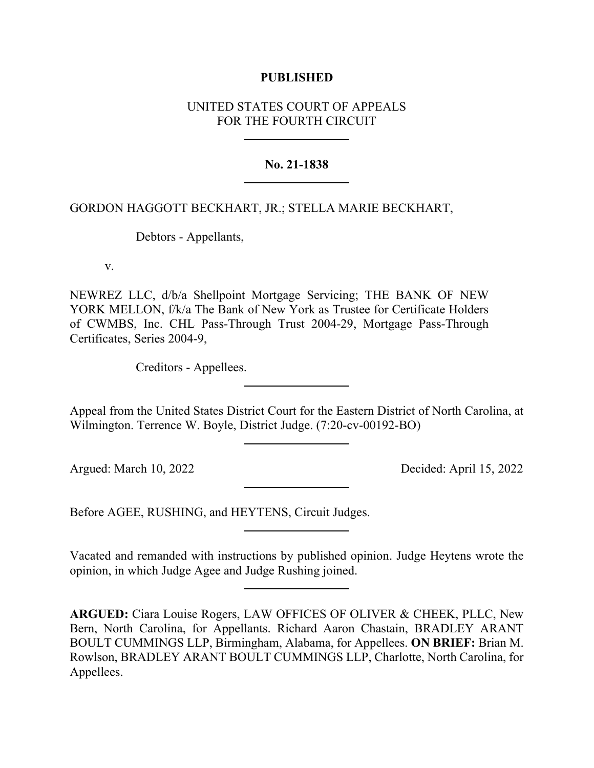## **PUBLISHED**

# UNITED STATES COURT OF APPEALS FOR THE FOURTH CIRCUIT

### **No. 21-1838**

## GORDON HAGGOTT BECKHART, JR.; STELLA MARIE BECKHART,

Debtors - Appellants,

v.

NEWREZ LLC, d/b/a Shellpoint Mortgage Servicing; THE BANK OF NEW YORK MELLON, f/k/a The Bank of New York as Trustee for Certificate Holders of CWMBS, Inc. CHL Pass-Through Trust 2004-29, Mortgage Pass-Through Certificates, Series 2004-9,

Creditors - Appellees.

Appeal from the United States District Court for the Eastern District of North Carolina, at Wilmington. Terrence W. Boyle, District Judge. (7:20-cv-00192-BO)

Argued: March 10, 2022 Decided: April 15, 2022

Before AGEE, RUSHING, and HEYTENS, Circuit Judges.

Vacated and remanded with instructions by published opinion. Judge Heytens wrote the opinion, in which Judge Agee and Judge Rushing joined.

**ARGUED:** Ciara Louise Rogers, LAW OFFICES OF OLIVER & CHEEK, PLLC, New Bern, North Carolina, for Appellants. Richard Aaron Chastain, BRADLEY ARANT BOULT CUMMINGS LLP, Birmingham, Alabama, for Appellees. **ON BRIEF:** Brian M. Rowlson, BRADLEY ARANT BOULT CUMMINGS LLP, Charlotte, North Carolina, for Appellees.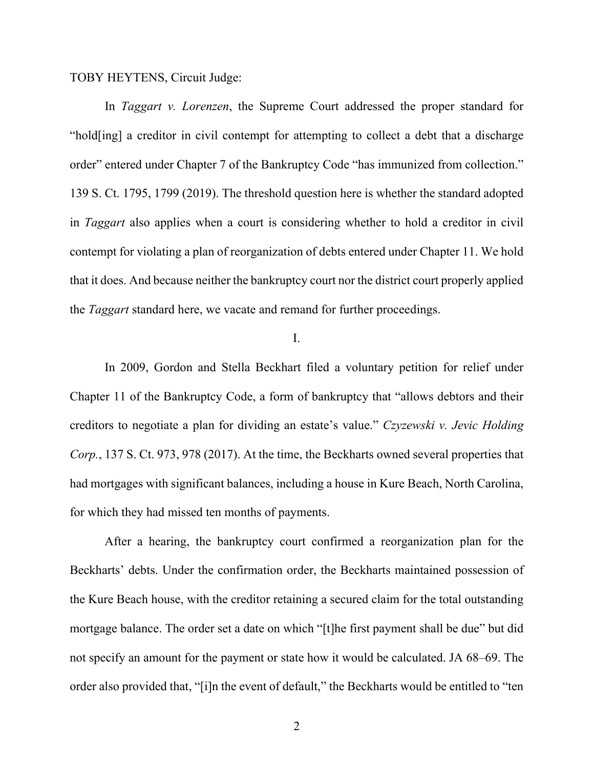TOBY HEYTENS, Circuit Judge:

In *Taggart v. Lorenzen*, the Supreme Court addressed the proper standard for "hold[ing] a creditor in civil contempt for attempting to collect a debt that a discharge order" entered under Chapter 7 of the Bankruptcy Code "has immunized from collection." 139 S. Ct. 1795, 1799 (2019). The threshold question here is whether the standard adopted in *Taggart* also applies when a court is considering whether to hold a creditor in civil contempt for violating a plan of reorganization of debts entered under Chapter 11. We hold that it does. And because neither the bankruptcy court nor the district court properly applied the *Taggart* standard here, we vacate and remand for further proceedings.

I.

In 2009, Gordon and Stella Beckhart filed a voluntary petition for relief under Chapter 11 of the Bankruptcy Code, a form of bankruptcy that "allows debtors and their creditors to negotiate a plan for dividing an estate's value." *Czyzewski v. Jevic Holding Corp.*, 137 S. Ct. 973, 978 (2017). At the time, the Beckharts owned several properties that had mortgages with significant balances, including a house in Kure Beach, North Carolina, for which they had missed ten months of payments.

After a hearing, the bankruptcy court confirmed a reorganization plan for the Beckharts' debts. Under the confirmation order, the Beckharts maintained possession of the Kure Beach house, with the creditor retaining a secured claim for the total outstanding mortgage balance. The order set a date on which "[t]he first payment shall be due" but did not specify an amount for the payment or state how it would be calculated. JA 68–69. The order also provided that, "[i]n the event of default," the Beckharts would be entitled to "ten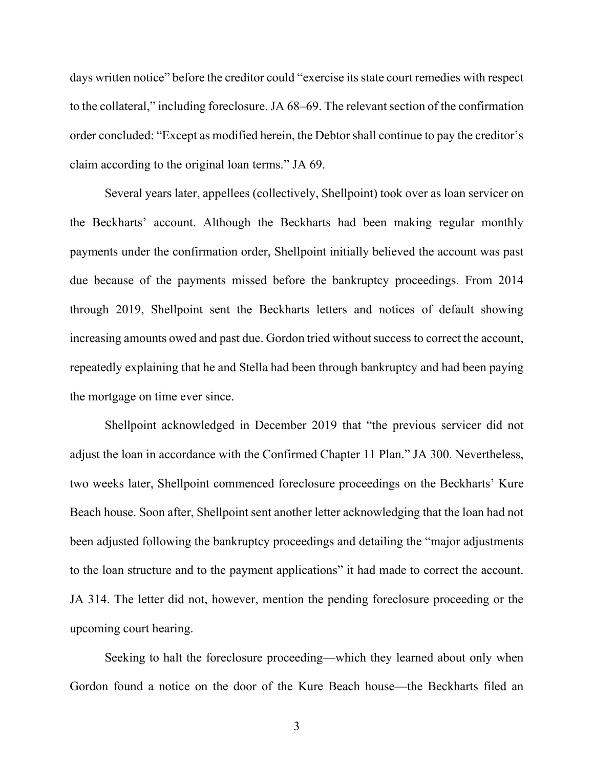days written notice" before the creditor could "exercise its state court remedies with respect to the collateral," including foreclosure. JA 68–69. The relevant section of the confirmation order concluded: "Except as modified herein, the Debtor shall continue to pay the creditor's claim according to the original loan terms." JA 69.

Several years later, appellees (collectively, Shellpoint) took over as loan servicer on the Beckharts' account. Although the Beckharts had been making regular monthly payments under the confirmation order, Shellpoint initially believed the account was past due because of the payments missed before the bankruptcy proceedings. From 2014 through 2019, Shellpoint sent the Beckharts letters and notices of default showing increasing amounts owed and past due. Gordon tried without success to correct the account, repeatedly explaining that he and Stella had been through bankruptcy and had been paying the mortgage on time ever since.

Shellpoint acknowledged in December 2019 that "the previous servicer did not adjust the loan in accordance with the Confirmed Chapter 11 Plan." JA 300. Nevertheless, two weeks later, Shellpoint commenced foreclosure proceedings on the Beckharts' Kure Beach house. Soon after, Shellpoint sent another letter acknowledging that the loan had not been adjusted following the bankruptcy proceedings and detailing the "major adjustments to the loan structure and to the payment applications" it had made to correct the account. JA 314. The letter did not, however, mention the pending foreclosure proceeding or the upcoming court hearing.

Seeking to halt the foreclosure proceeding—which they learned about only when Gordon found a notice on the door of the Kure Beach house—the Beckharts filed an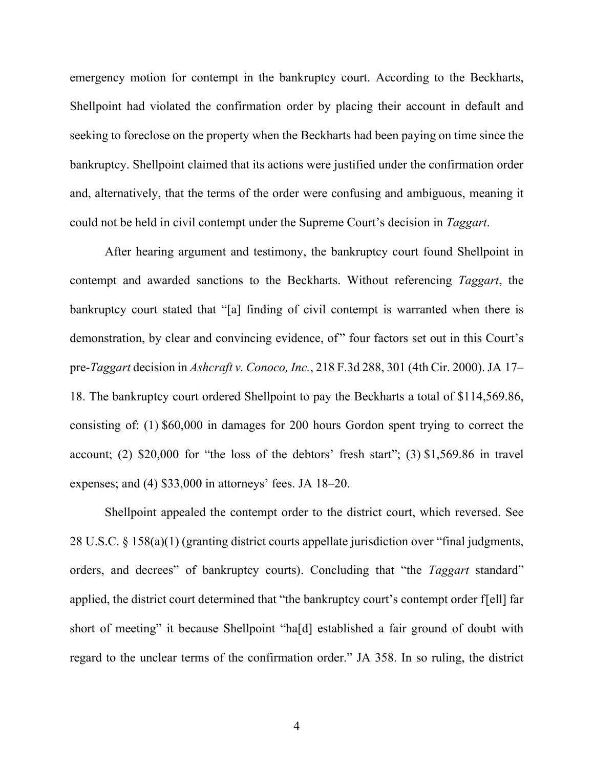emergency motion for contempt in the bankruptcy court. According to the Beckharts, Shellpoint had violated the confirmation order by placing their account in default and seeking to foreclose on the property when the Beckharts had been paying on time since the bankruptcy. Shellpoint claimed that its actions were justified under the confirmation order and, alternatively, that the terms of the order were confusing and ambiguous, meaning it could not be held in civil contempt under the Supreme Court's decision in *Taggart*.

After hearing argument and testimony, the bankruptcy court found Shellpoint in contempt and awarded sanctions to the Beckharts. Without referencing *Taggart*, the bankruptcy court stated that "[a] finding of civil contempt is warranted when there is demonstration, by clear and convincing evidence, of" four factors set out in this Court's pre-*Taggart* decision in *Ashcraft v. Conoco, Inc.*, 218 F.3d 288, 301 (4th Cir. 2000). JA 17– 18. The bankruptcy court ordered Shellpoint to pay the Beckharts a total of \$114,569.86, consisting of: (1) \$60,000 in damages for 200 hours Gordon spent trying to correct the account; (2) \$20,000 for "the loss of the debtors' fresh start"; (3) \$1,569.86 in travel expenses; and (4) \$33,000 in attorneys' fees. JA 18–20.

Shellpoint appealed the contempt order to the district court, which reversed. See 28 U.S.C. § 158(a)(1) (granting district courts appellate jurisdiction over "final judgments, orders, and decrees" of bankruptcy courts). Concluding that "the *Taggart* standard" applied, the district court determined that "the bankruptcy court's contempt order f[ell] far short of meeting" it because Shellpoint "ha[d] established a fair ground of doubt with regard to the unclear terms of the confirmation order." JA 358. In so ruling, the district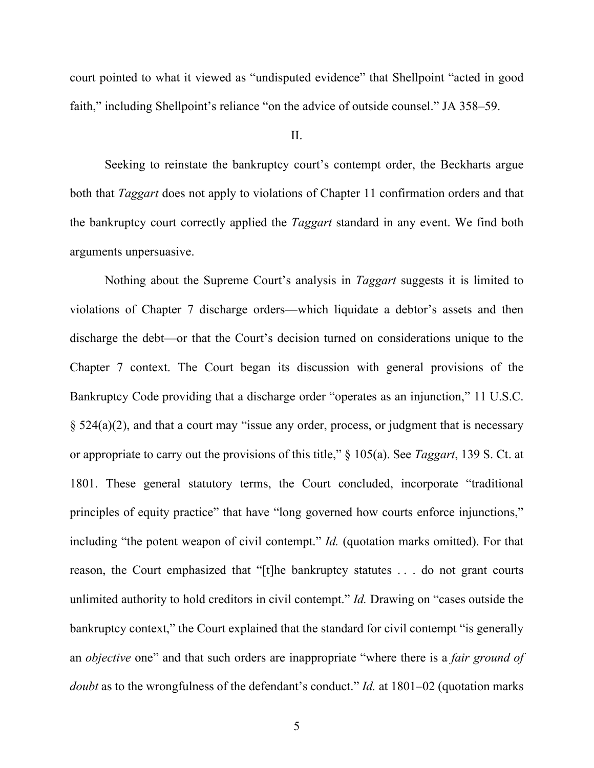court pointed to what it viewed as "undisputed evidence" that Shellpoint "acted in good faith," including Shellpoint's reliance "on the advice of outside counsel." JA 358–59.

II.

Seeking to reinstate the bankruptcy court's contempt order, the Beckharts argue both that *Taggart* does not apply to violations of Chapter 11 confirmation orders and that the bankruptcy court correctly applied the *Taggart* standard in any event. We find both arguments unpersuasive.

Nothing about the Supreme Court's analysis in *Taggart* suggests it is limited to violations of Chapter 7 discharge orders—which liquidate a debtor's assets and then discharge the debt—or that the Court's decision turned on considerations unique to the Chapter 7 context. The Court began its discussion with general provisions of the Bankruptcy Code providing that a discharge order "operates as an injunction," 11 U.S.C. § 524(a)(2), and that a court may "issue any order, process, or judgment that is necessary or appropriate to carry out the provisions of this title," § 105(a). See *Taggart*, 139 S. Ct. at 1801. These general statutory terms, the Court concluded, incorporate "traditional principles of equity practice" that have "long governed how courts enforce injunctions," including "the potent weapon of civil contempt." *Id.* (quotation marks omitted). For that reason, the Court emphasized that "[t]he bankruptcy statutes . . . do not grant courts unlimited authority to hold creditors in civil contempt." *Id.* Drawing on "cases outside the bankruptcy context," the Court explained that the standard for civil contempt "is generally an *objective* one" and that such orders are inappropriate "where there is a *fair ground of doubt* as to the wrongfulness of the defendant's conduct." *Id.* at 1801–02 (quotation marks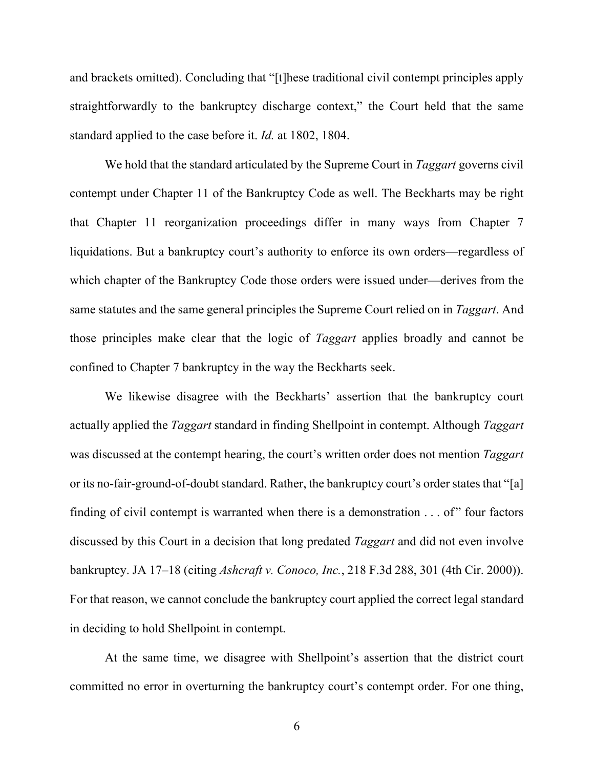and brackets omitted). Concluding that "[t]hese traditional civil contempt principles apply straightforwardly to the bankruptcy discharge context," the Court held that the same standard applied to the case before it. *Id.* at 1802, 1804.

We hold that the standard articulated by the Supreme Court in *Taggart* governs civil contempt under Chapter 11 of the Bankruptcy Code as well. The Beckharts may be right that Chapter 11 reorganization proceedings differ in many ways from Chapter 7 liquidations. But a bankruptcy court's authority to enforce its own orders—regardless of which chapter of the Bankruptcy Code those orders were issued under—derives from the same statutes and the same general principles the Supreme Court relied on in *Taggart*. And those principles make clear that the logic of *Taggart* applies broadly and cannot be confined to Chapter 7 bankruptcy in the way the Beckharts seek.

We likewise disagree with the Beckharts' assertion that the bankruptcy court actually applied the *Taggart* standard in finding Shellpoint in contempt. Although *Taggart* was discussed at the contempt hearing, the court's written order does not mention *Taggart* or its no-fair-ground-of-doubt standard. Rather, the bankruptcy court's order states that "[a] finding of civil contempt is warranted when there is a demonstration  $\dots$  of" four factors discussed by this Court in a decision that long predated *Taggart* and did not even involve bankruptcy. JA 17–18 (citing *Ashcraft v. Conoco, Inc.*, 218 F.3d 288, 301 (4th Cir. 2000)). For that reason, we cannot conclude the bankruptcy court applied the correct legal standard in deciding to hold Shellpoint in contempt.

At the same time, we disagree with Shellpoint's assertion that the district court committed no error in overturning the bankruptcy court's contempt order. For one thing,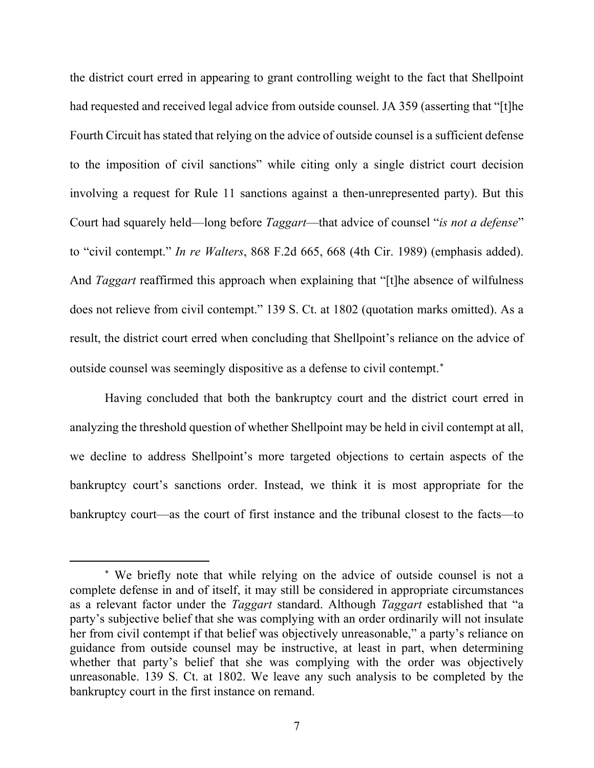the district court erred in appearing to grant controlling weight to the fact that Shellpoint had requested and received legal advice from outside counsel. JA 359 (asserting that "[t]he Fourth Circuit has stated that relying on the advice of outside counsel is a sufficient defense to the imposition of civil sanctions" while citing only a single district court decision involving a request for Rule 11 sanctions against a then-unrepresented party). But this Court had squarely held—long before *Taggart*—that advice of counsel "*is not a defense*" to "civil contempt." *In re Walters*, 868 F.2d 665, 668 (4th Cir. 1989) (emphasis added). And *Taggart* reaffirmed this approach when explaining that "[t]he absence of wilfulness does not relieve from civil contempt." 139 S. Ct. at 1802 (quotation marks omitted). As a result, the district court erred when concluding that Shellpoint's reliance on the advice of outside counsel was seemingly dispositive as a defense to civil contempt. [∗](#page-6-0)

Having concluded that both the bankruptcy court and the district court erred in analyzing the threshold question of whether Shellpoint may be held in civil contempt at all, we decline to address Shellpoint's more targeted objections to certain aspects of the bankruptcy court's sanctions order. Instead, we think it is most appropriate for the bankruptcy court—as the court of first instance and the tribunal closest to the facts—to

<span id="page-6-0"></span><sup>∗</sup> We briefly note that while relying on the advice of outside counsel is not a complete defense in and of itself, it may still be considered in appropriate circumstances as a relevant factor under the *Taggart* standard. Although *Taggart* established that "a party's subjective belief that she was complying with an order ordinarily will not insulate her from civil contempt if that belief was objectively unreasonable," a party's reliance on guidance from outside counsel may be instructive, at least in part, when determining whether that party's belief that she was complying with the order was objectively unreasonable. 139 S. Ct. at 1802. We leave any such analysis to be completed by the bankruptcy court in the first instance on remand.